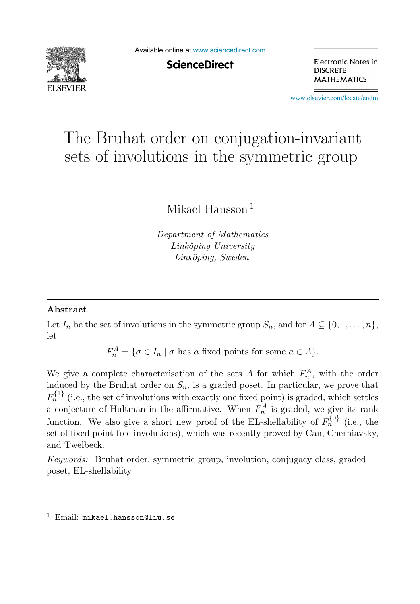

Available online at [www.sciencedirect.com](http://www.sciencedirect.com)

**ScienceDirect** 

Electronic Notes in **DISCRETE MATHEMATICS** 

[www.elsevier.com/locate/endm](http://www.elsevier.com/locate/endm)

# The Bruhat order on conjugation-invariant sets of involutions in the symmetric group

Mikael Hansson <sup>1</sup>

Department of Mathematics Linköping University Linköping, Sweden

#### **Abstract**

Let  $I_n$  be the set of involutions in the symmetric group  $S_n$ , and for  $A \subseteq \{0, 1, \ldots, n\}$ , let

 $F_n^A = \{ \sigma \in I_n \mid \sigma \text{ has } a \text{ fixed points for some } a \in A \}.$ 

We give a complete characterisation of the sets A for which  $F_n^A$ , with the order induced by the Bruhat order on  $S_n$ , is a graded poset. In particular, we prove that  $F_{n}^{\{1\}}$  (i.e., the set of involutions with exactly one fixed point) is graded, which settles a conjecture of Hultman in the affirmative. When  $F_n^A$  is graded, we give its rank function. We also give a short new proof of the EL-shellability of  $F_n^{\{0\}}$  (i.e., the set of fixed point-free involutions), which was recently proved by Can, Cherniavsky, and Twelbeck.

Keywords: Bruhat order, symmetric group, involution, conjugacy class, graded poset, EL-shellability

<sup>1</sup> Email: mikael.hansson@liu.se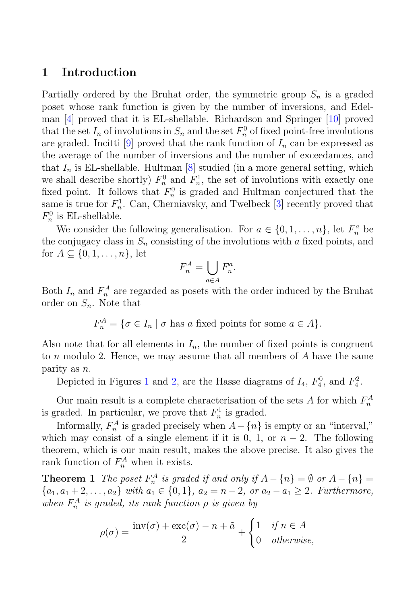## **1 Introduction**

Partially ordered by the Bruhat order, the symmetric group  $S_n$  is a graded poset whose rank function is given by the number of inversions, and Edelman [4] proved that it is EL-shellable. Richardson and Springer [10] proved that the set  $I_n$  of involutions in  $S_n$  and the set  $F_n^0$  of fixed point-free involutions are graded. Incitti [9] proved that the rank function of  $I_n$  can be expressed as the average of the number of inversions and the number of exceedances, and that  $I_n$  is EL-shellable. Hultman [8] studied (in a more general setting, which we shall describe shortly)  $F_n^0$  and  $F_n^1$ , the set of involutions with exactly one fixed point. It follows that  $F_n^0$  is graded and Hultman conjectured that the same is true for  $F_n^1$ . Can, Cherniavsky, and Twelbeck [3] recently proved that  $F_n^0$  is EL-shellable.

We consider the following generalisation. For  $a \in \{0, 1, ..., n\}$ , let  $F_n^a$  be the conjugacy class in  $S_n$  consisting of the involutions with a fixed points, and for  $A \subseteq \{0, 1, \ldots, n\}$ , let

$$
F_n^A = \bigcup_{a \in A} F_n^a.
$$

Both  $I_n$  and  $F_n^A$  are regarded as posets with the order induced by the Bruhat order on  $S_n$ . Note that

$$
F_n^A = \{ \sigma \in I_n \mid \sigma \text{ has } a \text{ fixed points for some } a \in A \}.
$$

Also note that for all elements in  $I_n$ , the number of fixed points is congruent to n modulo 2. Hence, we may assume that all members of A have the same parity as n.

Depicted in Figures 1 and 2, are the Hasse diagrams of  $I_4$ ,  $F_4^0$ , and  $F_4^2$ .

Our main result is a complete characterisation of the sets A for which  $F_n^A$ is graded. In particular, we prove that  $F_n^1$  is graded.

Informally,  $F_n^A$  is graded precisely when  $A - \{n\}$  is empty or an "interval," which may consist of a single element if it is 0, 1, or  $n-2$ . The following theorem, which is our main result, makes the above precise. It also gives the rank function of  $F_n^A$  when it exists.

**Theorem 1** The poset  $F_n^A$  is graded if and only if  $A - \{n\} = \emptyset$  or  $A - \{n\} = \emptyset$  ${a_1, a_1 + 2,..., a_2}$  with  $a_1 \in \{0, 1\}$ ,  $a_2 = n - 2$ , or  $a_2 - a_1 \geq 2$ . Furthermore, when  $F_n^A$  is graded, its rank function  $\rho$  is given by

$$
\rho(\sigma) = \frac{\text{inv}(\sigma) + \text{exc}(\sigma) - n + \tilde{a}}{2} + \begin{cases} 1 & \text{if } n \in A \\ 0 & \text{otherwise,} \end{cases}
$$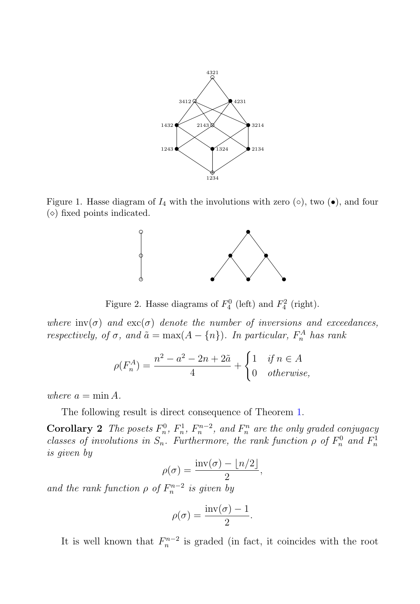

Figure 1. Hasse diagram of  $I_4$  with the involutions with zero ( $\circ$ ), two ( $\bullet$ ), and four  $(\diamond)$  fixed points indicated.



Figure 2. Hasse diagrams of  $F_4^0$  (left) and  $F_4^2$  (right).

where  $inv(\sigma)$  and  $exc(\sigma)$  denote the number of inversions and exceedances, respectively, of  $\sigma$ , and  $\tilde{a} = \max(A - \{n\})$ . In particular,  $F_n^A$  has rank

$$
\rho(F_n^A) = \frac{n^2 - a^2 - 2n + 2\tilde{a}}{4} + \begin{cases} 1 & \text{if } n \in A \\ 0 & \text{otherwise,} \end{cases}
$$

where  $a = \min A$ .

The following result is direct consequence of Theorem 1.

**Corollary 2** The posets  $F_n^0$ ,  $F_n^1$ ,  $F_n^{n-2}$ , and  $F_n^n$  are the only graded conjugacy classes of involutions in  $S_n$ . Furthermore, the rank function  $\rho$  of  $F_n^0$  and  $F_n^1$ is given by

$$
\rho(\sigma) = \frac{\text{inv}(\sigma) - \lfloor n/2 \rfloor}{2},
$$

and the rank function  $\rho$  of  $F_n^{n-2}$  is given by

$$
\rho(\sigma) = \frac{\text{inv}(\sigma) - 1}{2}.
$$

It is well known that  $F_n^{n-2}$  is graded (in fact, it coincides with the root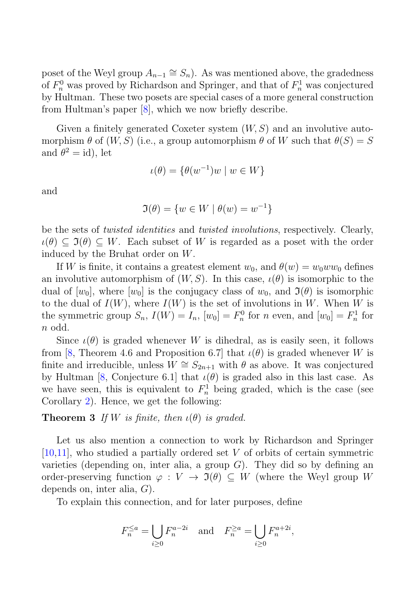poset of the Weyl group  $A_{n-1} \cong S_n$ ). As was mentioned above, the gradedness of  $F_n^0$  was proved by Richardson and Springer, and that of  $F_n^1$  was conjectured by Hultman. These two posets are special cases of a more general construction from Hultman's paper [8], which we now briefly describe.

Given a finitely generated Coxeter system  $(W, S)$  and an involutive automorphism  $\theta$  of  $(W, S)$  (i.e., a group automorphism  $\theta$  of W such that  $\theta(S) = S$ and  $\theta^2 = id$ , let

$$
\iota(\theta) = \{ \theta(w^{-1})w \mid w \in W \}
$$

and

$$
\Im(\theta) = \{w \in W \mid \theta(w) = w^{-1}\}
$$

be the sets of *twisted identities* and *twisted involutions*, respectively. Clearly,  $\iota(\theta) \subset \mathfrak{I}(\theta) \subset W$ . Each subset of W is regarded as a poset with the order induced by the Bruhat order on W.

If W is finite, it contains a greatest element  $w_0$ , and  $\theta(w) = w_0ww_0$  defines an involutive automorphism of  $(W, S)$ . In this case,  $\iota(\theta)$  is isomorphic to the dual of  $[w_0]$ , where  $[w_0]$  is the conjugacy class of  $w_0$ , and  $\mathfrak{I}(\theta)$  is isomorphic to the dual of  $I(W)$ , where  $I(W)$  is the set of involutions in W. When W is the symmetric group  $S_n$ ,  $I(W) = I_n$ ,  $[w_0] = F_n^0$  for n even, and  $[w_0] = F_n^1$  for n odd.

Since  $\iota(\theta)$  is graded whenever W is dihedral, as is easily seen, it follows from [8, Theorem 4.6 and Proposition 6.7] that  $\iota(\theta)$  is graded whenever W is finite and irreducible, unless  $W \cong S_{2n+1}$  with  $\theta$  as above. It was conjectured by Hultman [8, Conjecture 6.1] that  $\iota(\theta)$  is graded also in this last case. As we have seen, this is equivalent to  $F_n^1$  being graded, which is the case (see Corollary 2). Hence, we get the following:

**Theorem 3** If W is finite, then  $\iota(\theta)$  is graded.

Let us also mention a connection to work by Richardson and Springer [10,11], who studied a partially ordered set V of orbits of certain symmetric varieties (depending on, inter alia, a group  $G$ ). They did so by defining an order-preserving function  $\varphi: V \to \mathfrak{I}(\theta) \subset W$  (where the Weyl group W depends on, inter alia, G).

To explain this connection, and for later purposes, define

$$
F_n^{\le a} = \bigcup_{i \ge 0} F_n^{a-2i} \quad \text{and} \quad F_n^{\ge a} = \bigcup_{i \ge 0} F_n^{a+2i},
$$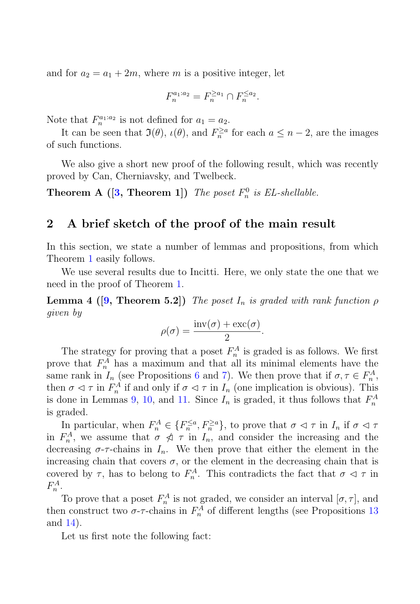and for  $a_2 = a_1 + 2m$ , where m is a positive integer, let

$$
F_n^{a_1:a_2} = F_n^{\ge a_1} \cap F_n^{\le a_2}.
$$

Note that  $F_n^{a_1:a_2}$  is not defined for  $a_1 = a_2$ .

It can be seen that  $\Im(\theta)$ ,  $\iota(\theta)$ , and  $F_n^{\ge a}$  for each  $a \le n-2$ , are the images of such functions.

We also give a short new proof of the following result, which was recently proved by Can, Cherniavsky, and Twelbeck.

**Theorem A ([3, Theorem 1])** The poset  $F_n^0$  is EL-shellable.

### **2 A brief sketch of the proof of the main result**

In this section, we state a number of lemmas and propositions, from which Theorem 1 easily follows.

We use several results due to Incitti. Here, we only state the one that we need in the proof of Theorem 1.

**Lemma 4 ([9, Theorem 5.2])** The poset  $I_n$  is graded with rank function  $\rho$ given by

$$
\rho(\sigma) = \frac{\text{inv}(\sigma) + \text{exc}(\sigma)}{2}.
$$

The strategy for proving that a poset  $F_n^A$  is graded is as follows. We first prove that  $F_n^A$  has a maximum and that all its minimal elements have the same rank in  $I_n$  (see Propositions 6 and 7). We then prove that if  $\sigma, \tau \in F_n^A$ , then  $\sigma \lhd \tau$  in  $F_n^A$  if and only if  $\sigma \lhd \tau$  in  $I_n$  (one implication is obvious). This is done in Lemmas 9, 10, and 11. Since  $I_n$  is graded, it thus follows that  $F_n^A$ is graded.

In particular, when  $F_n^A \in \{F_n^{\le a}, F_n^{\ge a}\}\,$ , to prove that  $\sigma \lhd \tau$  in  $I_n$  if  $\sigma \lhd \tau$ in  $F_n^A$ , we assume that  $\sigma \nless \tau$  in  $I_n$ , and consider the increasing and the decreasing  $\sigma$ - $\tau$ -chains in  $I_n$ . We then prove that either the element in the increasing chain that covers  $\sigma$ , or the element in the decreasing chain that is covered by  $\tau$ , has to belong to  $F_n^A$ . This contradicts the fact that  $\sigma \vartriangleleft \tau$  in  $F_n^A$ .

To prove that a poset  $F_n^A$  is not graded, we consider an interval  $[\sigma, \tau]$ , and then construct two  $\sigma$ - $\tau$ -chains in  $F_n^A$  of different lengths (see Propositions 13 and 14).

Let us first note the following fact: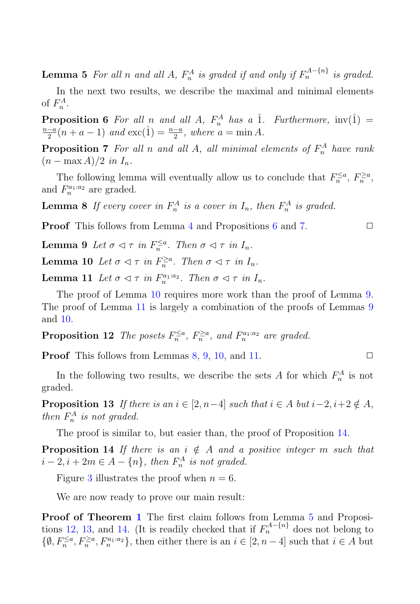**Lemma 5** For all n and all A,  $F_n^A$  is graded if and only if  $F_n^{A - \{n\}}$  is graded.

In the next two results, we describe the maximal and minimal elements of  $F_n^A$ .

**Proposition 6** For all n and all A,  $F_n^A$  has a  $\hat{1}$ . Furthermore,  $inv(\hat{1}) = \frac{n-a}{n+a} (n+a-1)$  and  $exc(\hat{1}) = \frac{n-a}{n}$  where  $a = min A$  $\frac{-a}{2}(n+a-1)$  and  $\text{exc}(\hat{1}) = \frac{n-a}{2}$ , where  $a = \min A$ .

**Proposition 7** For all n and all A, all minimal elements of  $F_n^A$  have rank  $(n - \max A)/2$  in  $I_n$ .

The following lemma will eventually allow us to conclude that  $F_n^{\le a}, F_n^{\ge a}$ , and  $F_n^{a_1:a_2}$  are graded.

**Lemma 8** If every cover in  $F_n^A$  is a cover in  $I_n$ , then  $F_n^A$  is graded.

**Proof** This follows from Lemma 4 and Propositions 6 and 7.

**Lemma 9** Let  $\sigma \lhd \tau$  in  $F_n^{\leq a}$ . Then  $\sigma \lhd \tau$  in  $I_n$ .

**Lemma 10** Let  $\sigma \lhd \tau$  in  $F_n^{\ge a}$ . Then  $\sigma \lhd \tau$  in  $I_n$ .

**Lemma 11** Let  $\sigma \lhd \tau$  in  $F_n^{a_1:a_2}$ . Then  $\sigma \lhd \tau$  in  $I_n$ .

The proof of Lemma 10 requires more work than the proof of Lemma 9. The proof of Lemma 11 is largely a combination of the proofs of Lemmas 9 and 10.

**Proposition 12** The posets  $F_n^{\le a}$ ,  $F_n^{\ge a}$ , and  $F_n^{a_1:a_2}$  are graded.

**Proof** This follows from Lemmas  $8, 9, 10,$  and  $11$ .

In the following two results, we describe the sets A for which  $F_n^A$  is not graded.

**Proposition 13** If there is an  $i \in [2, n-4]$  such that  $i \in A$  but  $i-2$ ,  $i+2 \notin A$ , then  $F_n^A$  is not graded.

The proof is similar to, but easier than, the proof of Proposition 14.

**Proposition 14** If there is an  $i \notin A$  and a positive integer m such that  $i-2, i+2m \in A-\{n\}$ , then  $F_n^A$  is not graded.

Figure 3 illustrates the proof when  $n = 6$ .

We are now ready to prove our main result:

**Proof of Theorem 1** The first claim follows from Lemma 5 and Propositions 12, 13, and 14. (It is readily checked that if  $F_n^{A-[n]}$  does not belong to  $\{\emptyset, F_n^{\le a}, F_n^{\ge a}, F_n^{a_1:a_2}\},\$  then either there is an  $i \in [2, n-4]$  such that  $i \in A$  but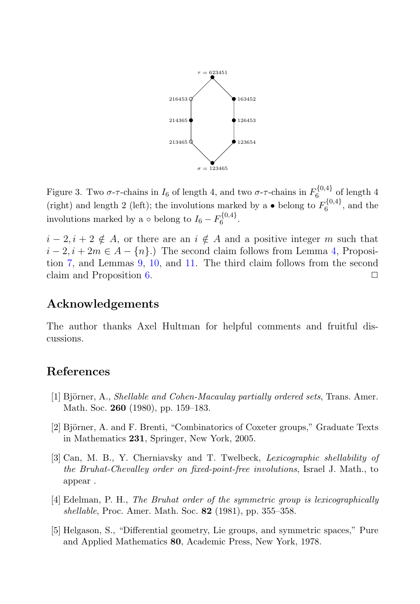

Figure 3. Two  $\sigma$ - $\tau$ -chains in  $I_6$  of length 4, and two  $\sigma$ - $\tau$ -chains in  $F_6^{\{0,4\}}$  of length 4 (right) and length 2 (left); the involutions marked by a  $\bullet$  belong to  $F_6^{\{0,4\}}$ , and the involutions marked by a  $\circ$  belong to  $I_6 - F_6^{\{0,4\}}$ .

 $i - 2, i + 2 \notin A$ , or there are an  $i \notin A$  and a positive integer m such that  $i-2, i+2m \in A - \{n\}$ .) The second claim follows from Lemma 4, Proposition 7, and Lemmas 9, 10, and 11. The third claim follows from the second claim and Proposition 6.  $\Box$ 

## **Acknowledgements**

The author thanks Axel Hultman for helpful comments and fruitful discussions.

## **References**

- [1] Björner, A., *Shellable and Cohen-Macaulay partially ordered sets*, Trans. Amer. Math. Soc. **260** (1980), pp. 159–183.
- [2] Björner, A. and F. Brenti, "Combinatorics of Coxeter groups," Graduate Texts in Mathematics **231**, Springer, New York, 2005.
- [3] Can, M. B., Y. Cherniavsky and T. Twelbeck, Lexicographic shellability of the Bruhat-Chevalley order on fixed-point-free involutions, Israel J. Math., to appear .
- [4] Edelman, P. H., The Bruhat order of the symmetric group is lexicographically shellable, Proc. Amer. Math. Soc. **82** (1981), pp. 355–358.
- [5] Helgason, S., "Differential geometry, Lie groups, and symmetric spaces," Pure and Applied Mathematics **80**, Academic Press, New York, 1978.